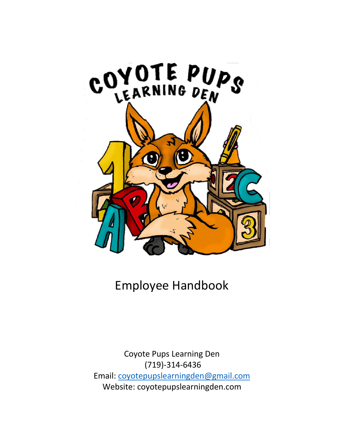

Employee Handbook

Coyote Pups Learning Den (719)-314-6436 Email: coyotepupslearningden@gmail.com Website: coyotepupslearningden.com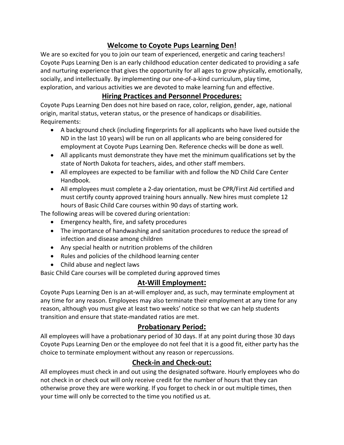## **Welcome to Coyote Pups Learning Den!**

We are so excited for you to join our team of experienced, energetic and caring teachers! Coyote Pups Learning Den is an early childhood education center dedicated to providing a safe and nurturing experience that gives the opportunity for all ages to grow physically, emotionally, socially, and intellectually. By implementing our one-of-a-kind curriculum, play time, exploration, and various activities we are devoted to make learning fun and effective.

## **Hiring Practices and Personnel Procedures:**

Coyote Pups Learning Den does not hire based on race, color, religion, gender, age, national origin, marital status, veteran status, or the presence of handicaps or disabilities. Requirements:

- A background check (including fingerprints for all applicants who have lived outside the ND in the last 10 years) will be run on all applicants who are being considered for employment at Coyote Pups Learning Den. Reference checks will be done as well.
- All applicants must demonstrate they have met the minimum qualifications set by the state of North Dakota for teachers, aides, and other staff members.
- All employees are expected to be familiar with and follow the ND Child Care Center Handbook.
- All employees must complete a 2-day orientation, must be CPR/First Aid certified and must certify county approved training hours annually. New hires must complete 12 hours of Basic Child Care courses within 90 days of starting work.

The following areas will be covered during orientation:

- Emergency health, fire, and safety procedures
- The importance of handwashing and sanitation procedures to reduce the spread of infection and disease among children
- Any special health or nutrition problems of the children
- Rules and policies of the childhood learning center
- Child abuse and neglect laws

Basic Child Care courses will be completed during approved times

## **At-Will Employment:**

Coyote Pups Learning Den is an at-will employer and, as such, may terminate employment at any time for any reason. Employees may also terminate their employment at any time for any reason, although you must give at least two weeks' notice so that we can help students transition and ensure that state-mandated ratios are met.

## **Probationary Period:**

All employees will have a probationary period of 30 days. If at any point during those 30 days Coyote Pups Learning Den or the employee do not feel that it is a good fit, either party has the choice to terminate employment without any reason or repercussions.

## **Check-in and Check-out:**

All employees must check in and out using the designated software. Hourly employees who do not check in or check out will only receive credit for the number of hours that they can otherwise prove they are were working. If you forget to check in or out multiple times, then your time will only be corrected to the time you notified us at.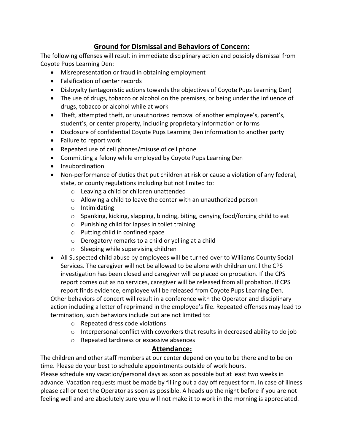## **Ground for Dismissal and Behaviors of Concern:**

The following offenses will result in immediate disciplinary action and possibly dismissal from Coyote Pups Learning Den:

- Misrepresentation or fraud in obtaining employment
- Falsification of center records
- Disloyalty (antagonistic actions towards the objectives of Coyote Pups Learning Den)
- The use of drugs, tobacco or alcohol on the premises, or being under the influence of drugs, tobacco or alcohol while at work
- Theft, attempted theft, or unauthorized removal of another employee's, parent's, student's, or center property, including proprietary information or forms
- Disclosure of confidential Coyote Pups Learning Den information to another party
- Failure to report work
- Repeated use of cell phones/misuse of cell phone
- Committing a felony while employed by Coyote Pups Learning Den
- Insubordination
- Non-performance of duties that put children at risk or cause a violation of any federal, state, or county regulations including but not limited to:
	- o Leaving a child or children unattended
	- o Allowing a child to leave the center with an unauthorized person
	- o Intimidating
	- o Spanking, kicking, slapping, binding, biting, denying food/forcing child to eat
	- o Punishing child for lapses in toilet training
	- o Putting child in confined space
	- o Derogatory remarks to a child or yelling at a child
	- o Sleeping while supervising children
- All Suspected child abuse by employees will be turned over to Williams County Social Services. The caregiver will not be allowed to be alone with children until the CPS investigation has been closed and caregiver will be placed on probation. If the CPS report comes out as no services, caregiver will be released from all probation. If CPS report finds evidence, employee will be released from Coyote Pups Learning Den.

Other behaviors of concert will result in a conference with the Operator and disciplinary action including a letter of reprimand in the employee's file. Repeated offenses may lead to termination, such behaviors include but are not limited to:

- o Repeated dress code violations
- o Interpersonal conflict with coworkers that results in decreased ability to do job
- o Repeated tardiness or excessive absences

## **Attendance:**

The children and other staff members at our center depend on you to be there and to be on time. Please do your best to schedule appointments outside of work hours.

Please schedule any vacation/personal days as soon as possible but at least two weeks in advance. Vacation requests must be made by filling out a day off request form. In case of illness please call or text the Operator as soon as possible. A heads up the night before if you are not feeling well and are absolutely sure you will not make it to work in the morning is appreciated.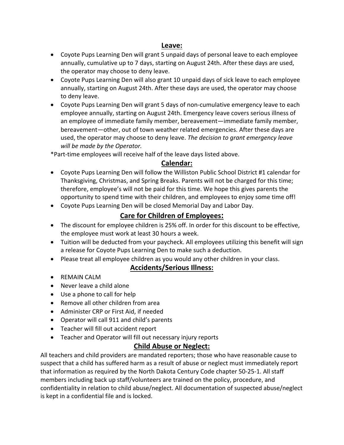### **Leave:**

- Coyote Pups Learning Den will grant 5 unpaid days of personal leave to each employee annually, cumulative up to 7 days, starting on August 24th. After these days are used, the operator may choose to deny leave.
- Coyote Pups Learning Den will also grant 10 unpaid days of sick leave to each employee annually, starting on August 24th. After these days are used, the operator may choose to deny leave.
- Coyote Pups Learning Den will grant 5 days of non-cumulative emergency leave to each employee annually, starting on August 24th. Emergency leave covers serious illness of an employee of immediate family member, bereavement—immediate family member, bereavement—other, out of town weather related emergencies. After these days are used, the operator may choose to deny leave. *The decision to grant emergency leave will be made by the Operator.*

\*Part-time employees will receive half of the leave days listed above.

### **Calendar:**

- Coyote Pups Learning Den will follow the Williston Public School District #1 calendar for Thanksgiving, Christmas, and Spring Breaks. Parents will not be charged for this time; therefore, employee's will not be paid for this time. We hope this gives parents the opportunity to spend time with their children, and employees to enjoy some time off!
- Coyote Pups Learning Den will be closed Memorial Day and Labor Day.

## **Care for Children of Employees:**

- The discount for employee children is 25% off. In order for this discount to be effective, the employee must work at least 30 hours a week.
- Tuition will be deducted from your paycheck. All employees utilizing this benefit will sign a release for Coyote Pups Learning Den to make such a deduction.
- Please treat all employee children as you would any other children in your class.

### **Accidents/Serious Illness:**

- REMAIN CALM
- Never leave a child alone
- Use a phone to call for help
- Remove all other children from area
- Administer CRP or First Aid, if needed
- Operator will call 911 and child's parents
- Teacher will fill out accident report
- Teacher and Operator will fill out necessary injury reports

## **Child Abuse or Neglect:**

All teachers and child providers are mandated reporters; those who have reasonable cause to suspect that a child has suffered harm as a result of abuse or neglect must immediately report that information as required by the North Dakota Century Code chapter 50-25-1. All staff members including back up staff/volunteers are trained on the policy, procedure, and confidentiality in relation to child abuse/neglect. All documentation of suspected abuse/neglect is kept in a confidential file and is locked.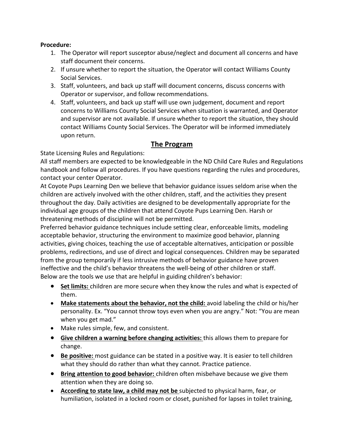#### **Procedure:**

- 1. The Operator will report susceptor abuse/neglect and document all concerns and have staff document their concerns.
- 2. If unsure whether to report the situation, the Operator will contact Williams County Social Services.
- 3. Staff, volunteers, and back up staff will document concerns, discuss concerns with Operator or supervisor, and follow recommendations.
- 4. Staff, volunteers, and back up staff will use own judgement, document and report concerns to Williams County Social Services when situation is warranted, and Operator and supervisor are not available. If unsure whether to report the situation, they should contact Williams County Social Services. The Operator will be informed immediately upon return.

### **The Program**

State Licensing Rules and Regulations:

All staff members are expected to be knowledgeable in the ND Child Care Rules and Regulations handbook and follow all procedures. If you have questions regarding the rules and procedures, contact your center Operator.

At Coyote Pups Learning Den we believe that behavior guidance issues seldom arise when the children are actively involved with the other children, staff, and the activities they present throughout the day. Daily activities are designed to be developmentally appropriate for the individual age groups of the children that attend Coyote Pups Learning Den. Harsh or threatening methods of discipline will not be permitted.

Preferred behavior guidance techniques include setting clear, enforceable limits, modeling acceptable behavior, structuring the environment to maximize good behavior, planning activities, giving choices, teaching the use of acceptable alternatives, anticipation or possible problems, redirections, and use of direct and logical consequences. Children may be separated from the group temporarily if less intrusive methods of behavior guidance have proven ineffective and the child's behavior threatens the well-being of other children or staff. Below are the tools we use that are helpful in guiding children's behavior:

- **Set limits:** children are more secure when they know the rules and what is expected of them.
- **Make statements about the behavior, not the child:** avoid labeling the child or his/her personality. Ex. "You cannot throw toys even when you are angry." Not: "You are mean when you get mad."
- Make rules simple, few, and consistent.
- **Give children a warning before changing activities:** this allows them to prepare for change.
- **Be positive:** most guidance can be stated in a positive way. It is easier to tell children what they should do rather than what they cannot. Practice patience.
- **Bring attention to good behavior:** children often misbehave because we give them attention when they are doing so.
- **According to state law, a child may not be** subjected to physical harm, fear, or humiliation, isolated in a locked room or closet, punished for lapses in toilet training,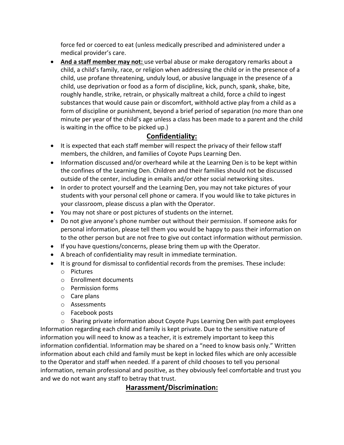force fed or coerced to eat (unless medically prescribed and administered under a medical provider's care.

• **And a staff member may not:** use verbal abuse or make derogatory remarks about a child, a child's family, race, or religion when addressing the child or in the presence of a child, use profane threatening, unduly loud, or abusive language in the presence of a child, use deprivation or food as a form of discipline, kick, punch, spank, shake, bite, roughly handle, strike, retrain, or physically maltreat a child, force a child to ingest substances that would cause pain or discomfort, withhold active play from a child as a form of discipline or punishment, beyond a brief period of separation (no more than one minute per year of the child's age unless a class has been made to a parent and the child is waiting in the office to be picked up.)

## **Confidentiality:**

- It is expected that each staff member will respect the privacy of their fellow staff members, the children, and families of Coyote Pups Learning Den.
- Information discussed and/or overheard while at the Learning Den is to be kept within the confines of the Learning Den. Children and their families should not be discussed outside of the center, including in emails and/or other social networking sites.
- In order to protect yourself and the Learning Den, you may not take pictures of your students with your personal cell phone or camera. If you would like to take pictures in your classroom, please discuss a plan with the Operator.
- You may not share or post pictures of students on the internet.
- Do not give anyone's phone number out without their permission. If someone asks for personal information, please tell them you would be happy to pass their information on to the other person but are not free to give out contact information without permission.
- If you have questions/concerns, please bring them up with the Operator.
- A breach of confidentiality may result in immediate termination.
- It is ground for dismissal to confidential records from the premises. These include:
	- o Pictures
	- o Enrollment documents
	- o Permission forms
	- o Care plans
	- o Assessments
	- o Facebook posts

o Sharing private information about Coyote Pups Learning Den with past employees Information regarding each child and family is kept private. Due to the sensitive nature of information you will need to know as a teacher, it is extremely important to keep this information confidential. Information may be shared on a "need to know basis only." Written information about each child and family must be kept in locked files which are only accessible to the Operator and staff when needed. If a parent of child chooses to tell you personal information, remain professional and positive, as they obviously feel comfortable and trust you and we do not want any staff to betray that trust.

## **Harassment/Discrimination:**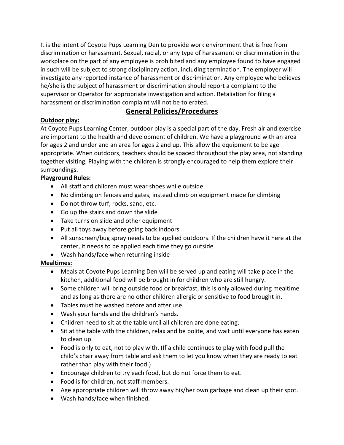It is the intent of Coyote Pups Learning Den to provide work environment that is free from discrimination or harassment. Sexual, racial, or any type of harassment or discrimination in the workplace on the part of any employee is prohibited and any employee found to have engaged in such will be subject to strong disciplinary action, including termination. The employer will investigate any reported instance of harassment or discrimination. Any employee who believes he/she is the subject of harassment or discrimination should report a complaint to the supervisor or Operator for appropriate investigation and action. Retaliation for filing a harassment or discrimination complaint will not be tolerated.

### **General Policies/Procedures**

### **Outdoor play:**

At Coyote Pups Learning Center, outdoor play is a special part of the day. Fresh air and exercise are important to the health and development of children. We have a playground with an area for ages 2 and under and an area for ages 2 and up. This allow the equipment to be age appropriate. When outdoors, teachers should be spaced throughout the play area, not standing together visiting. Playing with the children is strongly encouraged to help them explore their surroundings.

### **Playground Rules:**

- All staff and children must wear shoes while outside
- No climbing on fences and gates, instead climb on equipment made for climbing
- Do not throw turf, rocks, sand, etc.
- Go up the stairs and down the slide
- Take turns on slide and other equipment
- Put all toys away before going back indoors
- All sunscreen/bug spray needs to be applied outdoors. If the children have it here at the center, it needs to be applied each time they go outside
- Wash hands/face when returning inside

### **Mealtimes:**

- Meals at Coyote Pups Learning Den will be served up and eating will take place in the kitchen, additional food will be brought in for children who are still hungry.
- Some children will bring outside food or breakfast, this is only allowed during mealtime and as long as there are no other children allergic or sensitive to food brought in.
- Tables must be washed before and after use.
- Wash your hands and the children's hands.
- Children need to sit at the table until all children are done eating.
- Sit at the table with the children, relax and be polite, and wait until everyone has eaten to clean up.
- Food is only to eat, not to play with. (If a child continues to play with food pull the child's chair away from table and ask them to let you know when they are ready to eat rather than play with their food.)
- Encourage children to try each food, but do not force them to eat.
- Food is for children, not staff members.
- Age appropriate children will throw away his/her own garbage and clean up their spot.
- Wash hands/face when finished.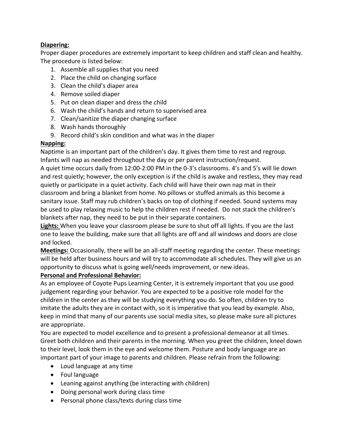#### **Diapering:**

Proper diaper procedures are extremely important to keep children and staff clean and healthy. The procedure is listed below:

- 1. Assemble all supplies that you need
- 2. Place the child on changing surface
- 3. Clean the child's diaper area
- 4. Remove soiled diaper
- 5. Put on clean diaper and dress the child
- 6. Wash the child's hands and return to supervised area
- 7. Clean/sanitize the diaper changing surface
- 8. Wash hands thoroughly
- 9. Record child's skin condition and what was in the diaper

#### **Napping:**

Naptime is an important part of the children's day. It gives them time to rest and regroup. Infants will nap as needed throughout the day or per parent instruction/request. A quiet time occurs daily from 12:00-2:00 PM in the 0-3's classrooms. 4's and 5's will lie down and rest quietly; however, the only exception is if the child is awake and restless, they may read quietly or participate in a quiet activity. Each child will have their own nap mat in their classroom and bring a blanket from home. No pillows or stuffed animals as this become a sanitary issue. Staff may rub children's backs on top of clothing if needed. Sound systems may be used to play relaxing music to help the children rest if needed. Do not stack the children's blankets after nap, they need to be put in their separate containers.

**Lights:** When you leave your classroom please be sure to shut off all lights. If you are the last one to leave the building, make sure that all lights are off and all windows and doors are close and locked.

**Meetings:** Occasionally, there will be an all-staff meeting regarding the center. These meetings will be held after business hours and will try to accommodate all schedules. They will give us an opportunity to discuss what is going well/needs improvement, or new ideas.

#### **Personal and Professional Behavior:**

As an employee of Coyote Pups Learning Center, it is extremely important that you use good judgement regarding your behavior. You are expected to be a positive role model for the children in the center as they will be studying everything you do. So often, children try to imitate the adults they are in contact with, so it is imperative that you lead by example. Also, keep in mind that many of our parents use social media sites, so please make sure all pictures are appropriate.

You are expected to model excellence and to present a professional demeanor at all times. Greet both children and their parents in the morning. When you greet the children, kneel down to their level, look them in the eye and welcome them. Posture and body language are an important part of your image to parents and children. Please refrain from the following:

- Loud language at any time
- Foul language
- Leaning against anything (be interacting with children)
- Doing personal work during class time
- Personal phone class/texts during class time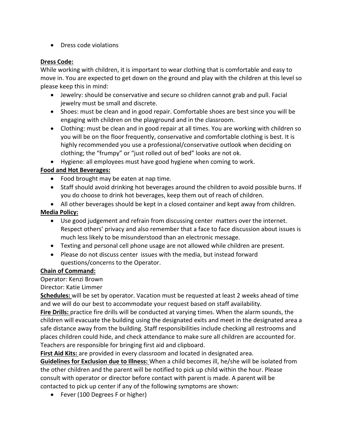• Dress code violations

#### **Dress Code:**

While working with children, it is important to wear clothing that is comfortable and easy to move in. You are expected to get down on the ground and play with the children at this level so please keep this in mind:

- Jewelry: should be conservative and secure so children cannot grab and pull. Facial jewelry must be small and discrete.
- Shoes: must be clean and in good repair. Comfortable shoes are best since you will be engaging with children on the playground and in the classroom.
- Clothing: must be clean and in good repair at all times. You are working with children so you will be on the floor frequently, conservative and comfortable clothing is best. It is highly recommended you use a professional/conservative outlook when deciding on clothing; the "frumpy" or "just rolled out of bed" looks are not ok.
- Hygiene: all employees must have good hygiene when coming to work.

#### **Food and Hot Beverages:**

- Food brought may be eaten at nap time.
- Staff should avoid drinking hot beverages around the children to avoid possible burns. If you do choose to drink hot beverages, keep them out of reach of children.
- All other beverages should be kept in a closed container and kept away from children.

#### **Media Policy:**

- Use good judgement and refrain from discussing center matters over the internet. Respect others' privacy and also remember that a face to face discussion about issues is much less likely to be misunderstood than an electronic message.
- Texting and personal cell phone usage are not allowed while children are present.
- Please do not discuss center issues with the media, but instead forward questions/concerns to the Operator.

#### **Chain of Command:**

#### Operator: Kenzi Brown

#### Director: Katie Limmer

**Schedules:** will be set by operator. Vacation must be requested at least 2 weeks ahead of time and we will do our best to accommodate your request based on staff availability.

**Fire Drills:** practice fire drills will be conducted at varying times. When the alarm sounds, the children will evacuate the building using the designated exits and meet in the designated area a safe distance away from the building. Staff responsibilities include checking all restrooms and places children could hide, and check attendance to make sure all children are accounted for. Teachers are responsible for bringing first aid and clipboard.

**First Aid Kits:** are provided in every classroom and located in designated area.

**Guidelines for Exclusion due to Illness:** When a child becomes ill, he/she will be isolated from the other children and the parent will be notified to pick up child within the hour. Please consult with operator or director before contact with parent is made. A parent will be contacted to pick up center if any of the following symptoms are shown:

• Fever (100 Degrees F or higher)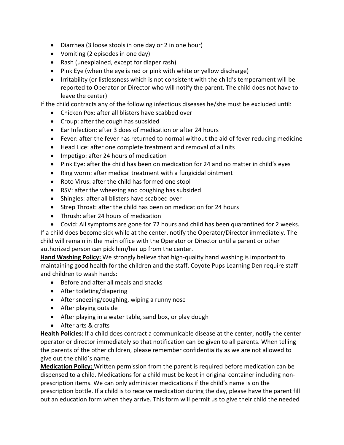- Diarrhea (3 loose stools in one day or 2 in one hour)
- Vomiting (2 episodes in one day)
- Rash (unexplained, except for diaper rash)
- Pink Eye (when the eye is red or pink with white or yellow discharge)
- Irritability (or listlessness which is not consistent with the child's temperament will be reported to Operator or Director who will notify the parent. The child does not have to leave the center)

If the child contracts any of the following infectious diseases he/she must be excluded until:

- Chicken Pox: after all blisters have scabbed over
- Croup: after the cough has subsided
- Ear Infection: after 3 does of medication or after 24 hours
- Fever: after the fever has returned to normal without the aid of fever reducing medicine
- Head Lice: after one complete treatment and removal of all nits
- Impetigo: after 24 hours of medication
- Pink Eye: after the child has been on medication for 24 and no matter in child's eyes
- Ring worm: after medical treatment with a fungicidal ointment
- Roto Virus: after the child has formed one stool
- RSV: after the wheezing and coughing has subsided
- Shingles: after all blisters have scabbed over
- Strep Throat: after the child has been on medication for 24 hours
- Thrush: after 24 hours of medication
- Covid: All symptoms are gone for 72 hours and child has been quarantined for 2 weeks.

If a child does become sick while at the center, notify the Operator/Director immediately. The child will remain in the main office with the Operator or Director until a parent or other authorized person can pick him/her up from the center.

**Hand Washing Policy:** We strongly believe that high-quality hand washing is important to maintaining good health for the children and the staff. Coyote Pups Learning Den require staff and children to wash hands:

- Before and after all meals and snacks
- After toileting/diapering
- After sneezing/coughing, wiping a runny nose
- After playing outside
- After playing in a water table, sand box, or play dough
- After arts & crafts

**Health Policies**: If a child does contract a communicable disease at the center, notify the center operator or director immediately so that notification can be given to all parents. When telling the parents of the other children, please remember confidentiality as we are not allowed to give out the child's name.

**Medication Policy:** Written permission from the parent is required before medication can be dispensed to a child. Medications for a child must be kept in original container including nonprescription items. We can only administer medications if the child's name is on the prescription bottle. If a child is to receive medication during the day, please have the parent fill out an education form when they arrive. This form will permit us to give their child the needed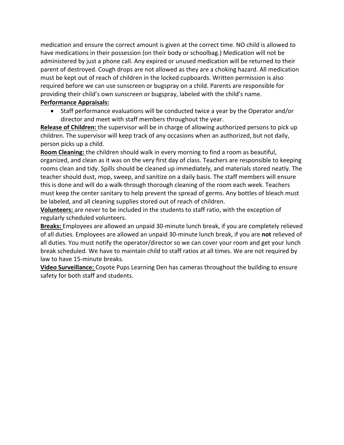medication and ensure the correct amount is given at the correct time. NO child is allowed to have medications in their possession (on their body or schoolbag.) Medication will not be administered by just a phone call. Any expired or unused medication will be returned to their parent of destroyed. Cough drops are not allowed as they are a choking hazard. All medication must be kept out of reach of children in the locked cupboards. Written permission is also required before we can use sunscreen or bugspray on a child. Parents are responsible for providing their child's own sunscreen or bugspray, labeled with the child's name.

#### **Performance Appraisals:**

• Staff performance evaluations will be conducted twice a year by the Operator and/or director and meet with staff members throughout the year.

**Release of Children:** the supervisor will be in charge of allowing authorized persons to pick up children. The supervisor will keep track of any occasions when an authorized, but not daily, person picks up a child.

**Room Cleaning:** the children should walk in every morning to find a room as beautiful, organized, and clean as it was on the very first day of class. Teachers are responsible to keeping rooms clean and tidy. Spills should be cleaned up immediately, and materials stored neatly. The teacher should dust, mop, sweep, and sanitize on a daily basis. The staff members will ensure this is done and will do a walk-through thorough cleaning of the room each week. Teachers must keep the center sanitary to help prevent the spread of germs. Any bottles of bleach must be labeled, and all cleaning supplies stored out of reach of children.

**Volunteers:** are never to be included in the students to staff ratio, with the exception of regularly scheduled volunteers.

**Breaks:** Employees are allowed an unpaid 30-minute lunch break, if you are completely relieved of all duties. Employees are allowed an unpaid 30-minute lunch break, if you are **not** relieved of all duties. You must notify the operator/director so we can cover your room and get your lunch break scheduled. We have to maintain child to staff ratios at all times. We are not required by law to have 15-minute breaks.

**Video Surveillance:** Coyote Pups Learning Den has cameras throughout the building to ensure safety for both staff and students.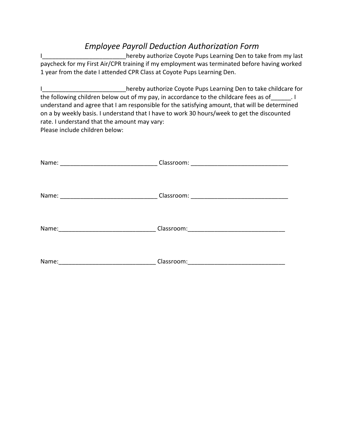# *Employee Payroll Deduction Authorization Form*

I paycheck for my First Air/CPR training if my employment was terminated before having worked 1 year from the date I attended CPR Class at Coyote Pups Learning Den.

I\_\_\_\_\_\_\_\_\_\_\_\_\_\_\_\_\_\_\_\_\_\_\_\_\_\_hereby authorize Coyote Pups Learning Den to take childcare for the following children below out of my pay, in accordance to the childcare fees as of  $\qquad \qquad$ . understand and agree that I am responsible for the satisfying amount, that will be determined on a by weekly basis. I understand that I have to work 30 hours/week to get the discounted rate. I understand that the amount may vary: Please include children below:

| Name: | Classroom:                                                                                                                         |
|-------|------------------------------------------------------------------------------------------------------------------------------------|
|       |                                                                                                                                    |
| Name: | Classroom:<br><u> 1980 - Jan Samuel Barbara, margaret e populari e populari e populari e populari e populari e populari e popu</u> |
|       |                                                                                                                                    |
| Name: | Classroom:                                                                                                                         |
|       |                                                                                                                                    |
| Name: | Classroom:                                                                                                                         |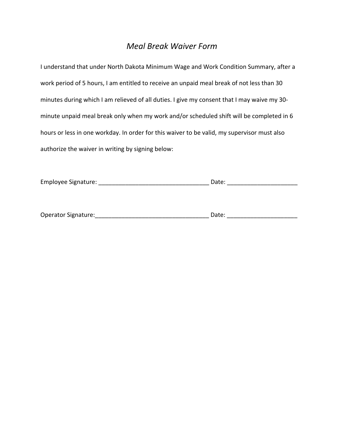## *Meal Break Waiver Form*

I understand that under North Dakota Minimum Wage and Work Condition Summary, after a work period of 5 hours, I am entitled to receive an unpaid meal break of not less than 30 minutes during which I am relieved of all duties. I give my consent that I may waive my 30 minute unpaid meal break only when my work and/or scheduled shift will be completed in 6 hours or less in one workday. In order for this waiver to be valid, my supervisor must also authorize the waiver in writing by signing below:

| Employee Signature: | Date: |  |
|---------------------|-------|--|
|                     |       |  |

| <b>Operator Signature:</b> |  |  |
|----------------------------|--|--|
|----------------------------|--|--|